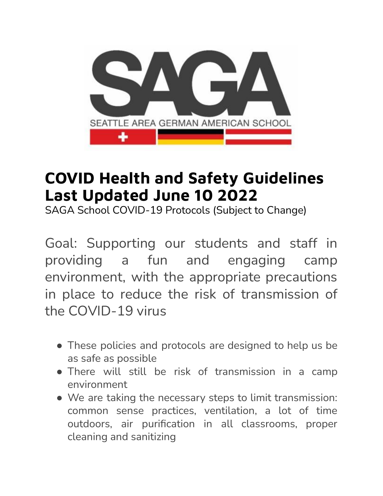

# **COVID Health and Safety Guidelines Last Updated June 10 2022**

SAGA School COVID-19 Protocols (Subject to Change)

Goal: Supporting our students and staff in providing a fun and engaging camp environment, with the appropriate precautions in place to reduce the risk of transmission of the COVID-19 virus

- These policies and protocols are designed to help us be as safe as possible
- There will still be risk of transmission in a camp environment
- We are taking the necessary steps to limit transmission: common sense practices, ventilation, a lot of time outdoors, air purification in all classrooms, proper cleaning and sanitizing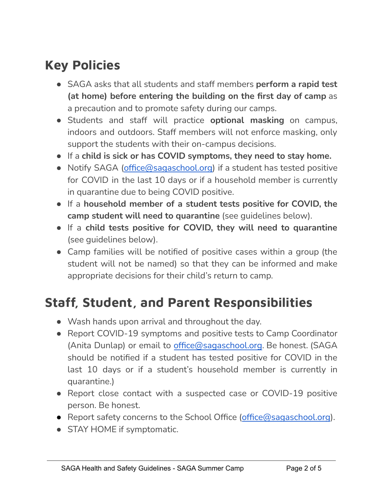## **Key Policies**

- SAGA asks that all students and staff members **perform a rapid test (at home) before entering the building on the first day of camp** as a precaution and to promote safety during our camps.
- Students and staff will practice **optional masking** on campus, indoors and outdoors. Staff members will not enforce masking, only support the students with their on-campus decisions.
- If a **child is sick or has COVID symptoms, they need to stay home.**
- Notify SAGA [\(office@sagaschool.org\)](mailto:office@sagaschool.org) if a student has tested positive for COVID in the last 10 days or if a household member is currently in quarantine due to being COVID positive.
- If a **household member of a student tests positive for COVID, the camp student will need to quarantine** (see guidelines below).
- If a **child tests positive for COVID, they will need to quarantine** (see guidelines below).
- Camp families will be notified of positive cases within a group (the student will not be named) so that they can be informed and make appropriate decisions for their child's return to camp.

### **Staff, Student, and Parent Responsibilities**

- Wash hands upon arrival and throughout the day.
- Report COVID-19 symptoms and positive tests to Camp Coordinator (Anita Dunlap) or email to [office@sagaschool.org](mailto:office@sagaschool.org). Be honest. (SAGA should be notified if a student has tested positive for COVID in the last 10 days or if a student's household member is currently in quarantine.)
- Report close contact with a suspected case or COVID-19 positive person. Be honest.
- Report safety concerns to the School Office ([office@sagaschool.org](mailto:office@sagaschool.org)).
- STAY HOME if symptomatic.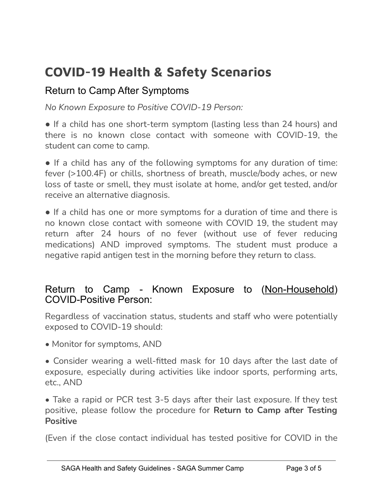# **COVID-19 Health & Safety Scenarios**

### Return to Camp After Symptoms

*No Known Exposure to Positive COVID-19 Person:*

• If a child has one short-term symptom (lasting less than 24 hours) and there is no known close contact with someone with COVID-19, the student can come to camp.

• If a child has any of the following symptoms for any duration of time: fever (>100.4F) or chills, shortness of breath, muscle/body aches, or new loss of taste or smell, they must isolate at home, and/or get tested, and/or receive an alternative diagnosis.

• If a child has one or more symptoms for a duration of time and there is no known close contact with someone with COVID 19, the student may return after 24 hours of no fever (without use of fever reducing medications) AND improved symptoms. The student must produce a negative rapid antigen test in the morning before they return to class.

#### Return to Camp - Known Exposure to (Non-Household) COVID-Positive Person:

Regardless of vaccination status, students and staff who were potentially exposed to COVID-19 should:

- Monitor for symptoms, AND
- Consider wearing a well-fitted mask for 10 days after the last date of exposure, especially during activities like indoor sports, performing arts, etc., AND

• Take a rapid or PCR test 3-5 days after their last exposure. If they test positive, please follow the procedure for **Return to Camp after Testing Positive**

(Even if the close contact individual has tested positive for COVID in the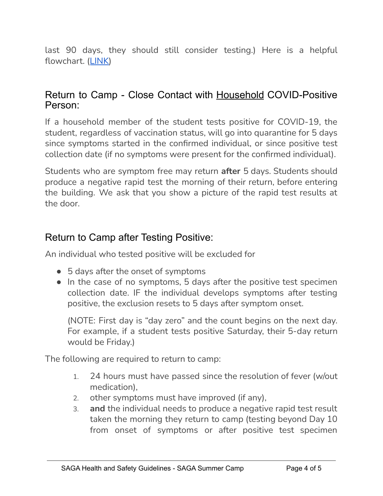last 90 days, they should still consider testing.) Here is a helpful flowchart. ([LINK\)](https://drive.google.com/file/d/1spYcOYKLRs3KlcVP0KQGDM0QCnVCzeeK/view?usp=sharing)

#### Return to Camp - Close Contact with Household COVID-Positive Person:

If a household member of the student tests positive for COVID-19, the student, regardless of vaccination status, will go into quarantine for 5 days since symptoms started in the confirmed individual, or since positive test collection date (if no symptoms were present for the confirmed individual).

Students who are symptom free may return **after** 5 days. Students should produce a negative rapid test the morning of their return, before entering the building. We ask that you show a picture of the rapid test results at the door.

### Return to Camp after Testing Positive:

An individual who tested positive will be excluded for

- 5 days after the onset of symptoms
- In the case of no symptoms, 5 days after the positive test specimen collection date. IF the individual develops symptoms after testing positive, the exclusion resets to 5 days after symptom onset.

(NOTE: First day is "day zero" and the count begins on the next day. For example, if a student tests positive Saturday, their 5-day return would be Friday.)

The following are required to return to camp:

- 1. 24 hours must have passed since the resolution of fever (w/out medication),
- 2. other symptoms must have improved (if any),
- 3. **and** the individual needs to produce a negative rapid test result taken the morning they return to camp (testing beyond Day 10 from onset of symptoms or after positive test specimen